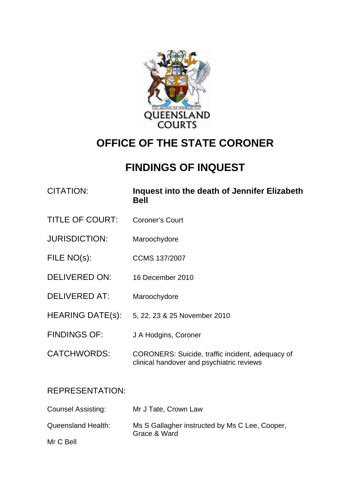

# **OFFICE OF THE STATE CORONER**

# **FINDINGS OF INQUEST**

| CITATION:              | Inquest into the death of Jennifer Elizabeth<br><b>Bell</b> |
|------------------------|-------------------------------------------------------------|
| <b>TITLE OF COURT:</b> | Coroner's Court                                             |
| <b>JURISDICTION:</b>   | Maroochydore                                                |
| FILE NO(s):            | <b>CCMS 137/2007</b>                                        |
| DELIVERED ON:          | 16 December 2010                                            |
|                        |                                                             |

- DELIVERED AT: Maroochydore
- HEARING DATE(s): 5, 22, 23 & 25 November 2010
- FINDINGS OF: J A Hodgins, Coroner
- CATCHWORDS: CORONERS: Suicide, traffic incident, adequacy of clinical handover and psychiatric reviews

## REPRESENTATION:

| Counsel Assisting: | Mr J Tate, Crown Law                                           |
|--------------------|----------------------------------------------------------------|
| Queensland Health: | Ms S Gallagher instructed by Ms C Lee, Cooper,<br>Grace & Ward |
| Mr C Bell          |                                                                |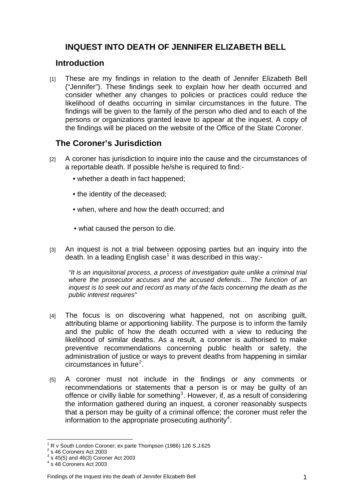## **INQUEST INTO DEATH OF JENNIFER ELIZABETH BELL**

## **Introduction**

[1] These are my findings in relation to the death of Jennifer Elizabeth Bell ("Jennifer"). These findings seek to explain how her death occurred and consider whether any changes to policies or practices could reduce the likelihood of deaths occurring in similar circumstances in the future. The findings will be given to the family of the person who died and to each of the persons or organizations granted leave to appear at the inquest. A copy of the findings will be placed on the website of the Office of the State Coroner.

## **The Coroner's Jurisdiction**

- [2] A coroner has jurisdiction to inquire into the cause and the circumstances of a reportable death. If possible he/she is required to find:-
	- whether a death in fact happened;
	- the identity of the deceased;
	- when, where and how the death occurred; and
	- what caused the person to die.
- [3] An inquest is not a trial between opposing parties but an inquiry into the death. In a leading English case<sup>[1](#page-1-0)</sup> it was described in this way:-

*"It is an inquisitorial process, a process of investigation quite unlike a criminal trial where the prosecutor accuses and the accused defends… The function of an inquest is to seek out and record as many of the facts concerning the death as the public interest requires"* 

- [4] The focus is on discovering what happened, not on ascribing guilt, attributing blame or apportioning liability. The purpose is to inform the family and the public of how the death occurred with a view to reducing the likelihood of similar deaths. As a result, a coroner is authorised to make preventive recommendations concerning public health or safety, the administration of justice or ways to prevent deaths from happening in similar  $circum$ stances in future<sup>[2](#page-1-1)</sup>.
- [5] A coroner must not include in the findings or any comments or recommendations or statements that a person is or may be guilty of an offence or civilly liable for something<sup>[3](#page-1-2)</sup>. However, if, as a result of considering the information gathered during an inquest, a coroner reasonably suspects that a person may be guilty of a criminal offence; the coroner must refer the information to the appropriate prosecuting authority<sup>[4](#page-1-3)</sup>.

 $\overline{a}$ 1 R v South London Coroner; ex parte Thompson (1986) 126 S.J.625 2

<span id="page-1-1"></span><span id="page-1-0"></span> $\frac{2}{3}$  s 46 Coroners Act 2003

<span id="page-1-2"></span>s 45(5) and 46(3) Coroner Act 2003

<span id="page-1-3"></span><sup>4</sup> s 48 Coroners Act 2003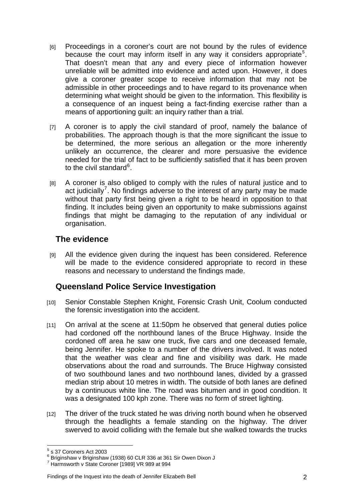- [6] Proceedings in a coroner's court are not bound by the rules of evidence because the court may inform itself in any way it considers appropriate<sup>[5](#page-2-0)</sup>. That doesn't mean that any and every piece of information however unreliable will be admitted into evidence and acted upon. However, it does give a coroner greater scope to receive information that may not be admissible in other proceedings and to have regard to its provenance when determining what weight should be given to the information. This flexibility is a consequence of an inquest being a fact-finding exercise rather than a means of apportioning guilt: an inquiry rather than a trial.
- [7] A coroner is to apply the civil standard of proof, namely the balance of probabilities. The approach though is that the more significant the issue to be determined, the more serious an allegation or the more inherently unlikely an occurrence, the clearer and more persuasive the evidence needed for the trial of fact to be sufficiently satisfied that it has been proven to the civil standard<sup>[6](#page-2-1)</sup>.
- [8] A coroner is also obliged to comply with the rules of natural justice and to act judicially<sup>[7](#page-2-2)</sup>. No findings adverse to the interest of any party may be made without that party first being given a right to be heard in opposition to that finding. It includes being given an opportunity to make submissions against findings that might be damaging to the reputation of any individual or organisation.

## **The evidence**

[9] All the evidence given during the inquest has been considered. Reference will be made to the evidence considered appropriate to record in these reasons and necessary to understand the findings made.

## **Queensland Police Service Investigation**

- [10] Senior Constable Stephen Knight, Forensic Crash Unit, Coolum conducted the forensic investigation into the accident.
- [11] On arrival at the scene at 11:50pm he observed that general duties police had cordoned off the northbound lanes of the Bruce Highway. Inside the cordoned off area he saw one truck, five cars and one deceased female, being Jennifer. He spoke to a number of the drivers involved. It was noted that the weather was clear and fine and visibility was dark. He made observations about the road and surrounds. The Bruce Highway consisted of two southbound lanes and two northbound lanes, divided by a grassed median strip about 10 metres in width. The outside of both lanes are defined by a continuous white line. The road was bitumen and in good condition. It was a designated 100 kph zone. There was no form of street lighting.
- [12] The driver of the truck stated he was driving north bound when he observed through the headlights a female standing on the highway. The driver swerved to avoid colliding with the female but she walked towards the trucks

#### Findings of the Inquest into the death of Jennifer Elizabeth Bell 2

 $\overline{a}$  $<sup>5</sup>$  s 37 Coroners Act 2003</sup>

<span id="page-2-1"></span><span id="page-2-0"></span><sup>6</sup> Briginshaw v Briginshaw (1938) 60 CLR 336 at 361 Sir Owen Dixon J

<span id="page-2-2"></span><sup>7</sup> Harmsworth v State Coroner [1989] VR 989 at 994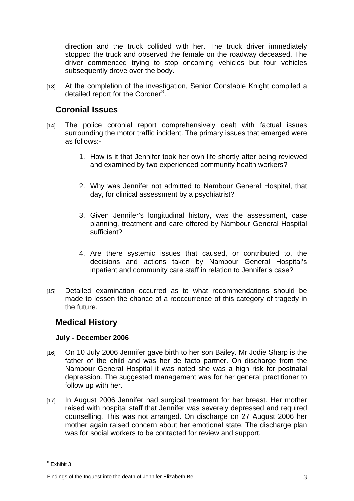direction and the truck collided with her. The truck driver immediately stopped the truck and observed the female on the roadway deceased. The driver commenced trying to stop oncoming vehicles but four vehicles subsequently drove over the body.

[13] At the completion of the investigation, Senior Constable Knight compiled a detailed report for the Coroner<sup>[8](#page-3-0)</sup>.

## **Coronial Issues**

- [14] The police coronial report comprehensively dealt with factual issues surrounding the motor traffic incident. The primary issues that emerged were as follows:-
	- 1. How is it that Jennifer took her own life shortly after being reviewed and examined by two experienced community health workers?
	- 2. Why was Jennifer not admitted to Nambour General Hospital, that day, for clinical assessment by a psychiatrist?
	- 3. Given Jennifer's longitudinal history, was the assessment, case planning, treatment and care offered by Nambour General Hospital sufficient?
	- 4. Are there systemic issues that caused, or contributed to, the decisions and actions taken by Nambour General Hospital's inpatient and community care staff in relation to Jennifer's case?
- [15] Detailed examination occurred as to what recommendations should be made to lessen the chance of a reoccurrence of this category of tragedy in the future.

## **Medical History**

#### **July - December 2006**

- [16] On 10 July 2006 Jennifer gave birth to her son Bailey. Mr Jodie Sharp is the father of the child and was her de facto partner. On discharge from the Nambour General Hospital it was noted she was a high risk for postnatal depression. The suggested management was for her general practitioner to follow up with her.
- [17] In August 2006 Jennifer had surgical treatment for her breast. Her mother raised with hospital staff that Jennifer was severely depressed and required counselling. This was not arranged. On discharge on 27 August 2006 her mother again raised concern about her emotional state. The discharge plan was for social workers to be contacted for review and support.

<span id="page-3-0"></span><sup>&</sup>lt;sup>8</sup> Exhibit 3

Findings of the Inquest into the death of Jennifer Elizabeth Bell 3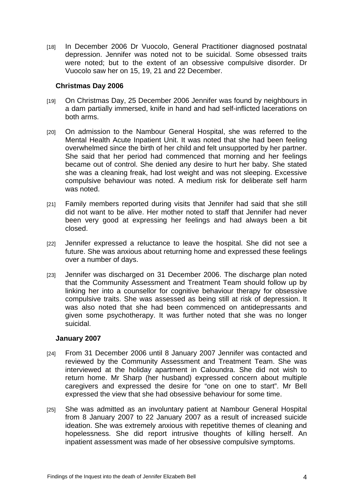[18] In December 2006 Dr Vuocolo, General Practitioner diagnosed postnatal depression. Jennifer was noted not to be suicidal. Some obsessed traits were noted; but to the extent of an obsessive compulsive disorder. Dr Vuocolo saw her on 15, 19, 21 and 22 December.

#### **Christmas Day 2006**

- [19] On Christmas Day, 25 December 2006 Jennifer was found by neighbours in a dam partially immersed, knife in hand and had self-inflicted lacerations on both arms.
- [20] On admission to the Nambour General Hospital, she was referred to the Mental Health Acute Inpatient Unit. It was noted that she had been feeling overwhelmed since the birth of her child and felt unsupported by her partner. She said that her period had commenced that morning and her feelings became out of control. She denied any desire to hurt her baby. She stated she was a cleaning freak, had lost weight and was not sleeping. Excessive compulsive behaviour was noted. A medium risk for deliberate self harm was noted.
- [21] Family members reported during visits that Jennifer had said that she still did not want to be alive. Her mother noted to staff that Jennifer had never been very good at expressing her feelings and had always been a bit closed.
- [22] Jennifer expressed a reluctance to leave the hospital. She did not see a future. She was anxious about returning home and expressed these feelings over a number of days.
- [23] Jennifer was discharged on 31 December 2006. The discharge plan noted that the Community Assessment and Treatment Team should follow up by linking her into a counsellor for cognitive behaviour therapy for obsessive compulsive traits. She was assessed as being still at risk of depression. It was also noted that she had been commenced on antidepressants and given some psychotherapy. It was further noted that she was no longer suicidal.

#### **January 2007**

- [24] From 31 December 2006 until 8 January 2007 Jennifer was contacted and reviewed by the Community Assessment and Treatment Team. She was interviewed at the holiday apartment in Caloundra. She did not wish to return home. Mr Sharp (her husband) expressed concern about multiple caregivers and expressed the desire for "one on one to start". Mr Bell expressed the view that she had obsessive behaviour for some time.
- [25] She was admitted as an involuntary patient at Nambour General Hospital from 8 January 2007 to 22 January 2007 as a result of increased suicide ideation. She was extremely anxious with repetitive themes of cleaning and hopelessness. She did report intrusive thoughts of killing herself. An inpatient assessment was made of her obsessive compulsive symptoms.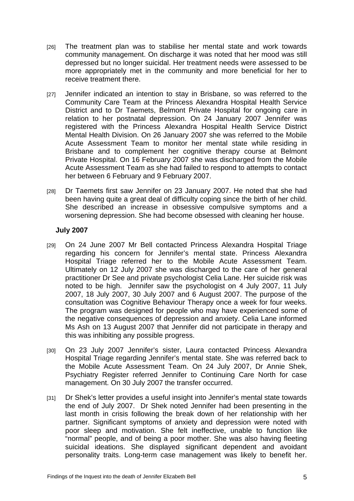- [26] The treatment plan was to stabilise her mental state and work towards community management. On discharge it was noted that her mood was still depressed but no longer suicidal. Her treatment needs were assessed to be more appropriately met in the community and more beneficial for her to receive treatment there.
- [27] Jennifer indicated an intention to stay in Brisbane, so was referred to the Community Care Team at the Princess Alexandra Hospital Health Service District and to Dr Taemets, Belmont Private Hospital for ongoing care in relation to her postnatal depression. On 24 January 2007 Jennifer was registered with the Princess Alexandra Hospital Health Service District Mental Health Division. On 26 January 2007 she was referred to the Mobile Acute Assessment Team to monitor her mental state while residing in Brisbane and to complement her cognitive therapy course at Belmont Private Hospital. On 16 February 2007 she was discharged from the Mobile Acute Assessment Team as she had failed to respond to attempts to contact her between 6 February and 9 February 2007.
- [28] Dr Taemets first saw Jennifer on 23 January 2007. He noted that she had been having quite a great deal of difficulty coping since the birth of her child. She described an increase in obsessive compulsive symptoms and a worsening depression. She had become obsessed with cleaning her house.

#### **July 2007**

- [29] On 24 June 2007 Mr Bell contacted Princess Alexandra Hospital Triage regarding his concern for Jennifer's mental state. Princess Alexandra Hospital Triage referred her to the Mobile Acute Assessment Team. Ultimately on 12 July 2007 she was discharged to the care of her general practitioner Dr See and private psychologist Celia Lane. Her suicide risk was noted to be high. Jennifer saw the psychologist on 4 July 2007, 11 July 2007, 18 July 2007, 30 July 2007 and 6 August 2007. The purpose of the consultation was Cognitive Behaviour Therapy once a week for four weeks. The program was designed for people who may have experienced some of the negative consequences of depression and anxiety. Celia Lane informed Ms Ash on 13 August 2007 that Jennifer did not participate in therapy and this was inhibiting any possible progress.
- [30] On 23 July 2007 Jennifer's sister, Laura contacted Princess Alexandra Hospital Triage regarding Jennifer's mental state. She was referred back to the Mobile Acute Assessment Team. On 24 July 2007, Dr Annie Shek, Psychiatry Register referred Jennifer to Continuing Care North for case management. On 30 July 2007 the transfer occurred.
- [31] Dr Shek's letter provides a useful insight into Jennifer's mental state towards the end of July 2007. Dr Shek noted Jennifer had been presenting in the last month in crisis following the break down of her relationship with her partner. Significant symptoms of anxiety and depression were noted with poor sleep and motivation. She felt ineffective, unable to function like "normal" people, and of being a poor mother. She was also having fleeting suicidal ideations. She displayed significant dependent and avoidant personality traits. Long-term case management was likely to benefit her.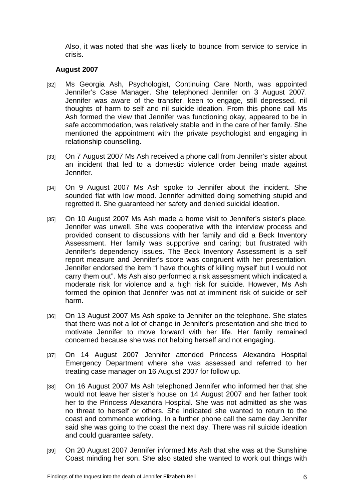Also, it was noted that she was likely to bounce from service to service in crisis.

#### **August 2007**

- [32] Ms Georgia Ash, Psychologist, Continuing Care North, was appointed Jennifer's Case Manager. She telephoned Jennifer on 3 August 2007. Jennifer was aware of the transfer, keen to engage, still depressed, nil thoughts of harm to self and nil suicide ideation. From this phone call Ms Ash formed the view that Jennifer was functioning okay, appeared to be in safe accommodation, was relatively stable and in the care of her family. She mentioned the appointment with the private psychologist and engaging in relationship counselling.
- [33] On 7 August 2007 Ms Ash received a phone call from Jennifer's sister about an incident that led to a domestic violence order being made against Jennifer.
- [34] On 9 August 2007 Ms Ash spoke to Jennifer about the incident. She sounded flat with low mood. Jennifer admitted doing something stupid and regretted it. She guaranteed her safety and denied suicidal ideation.
- [35] On 10 August 2007 Ms Ash made a home visit to Jennifer's sister's place. Jennifer was unwell. She was cooperative with the interview process and provided consent to discussions with her family and did a Beck Inventory Assessment. Her family was supportive and caring; but frustrated with Jennifer's dependency issues. The Beck Inventory Assessment is a self report measure and Jennifer's score was congruent with her presentation. Jennifer endorsed the item "I have thoughts of killing myself but I would not carry them out". Ms Ash also performed a risk assessment which indicated a moderate risk for violence and a high risk for suicide. However, Ms Ash formed the opinion that Jennifer was not at imminent risk of suicide or self harm.
- [36] On 13 August 2007 Ms Ash spoke to Jennifer on the telephone. She states that there was not a lot of change in Jennifer's presentation and she tried to motivate Jennifer to move forward with her life. Her family remained concerned because she was not helping herself and not engaging.
- [37] On 14 August 2007 Jennifer attended Princess Alexandra Hospital Emergency Department where she was assessed and referred to her treating case manager on 16 August 2007 for follow up.
- [38] On 16 August 2007 Ms Ash telephoned Jennifer who informed her that she would not leave her sister's house on 14 August 2007 and her father took her to the Princess Alexandra Hospital. She was not admitted as she was no threat to herself or others. She indicated she wanted to return to the coast and commence working. In a further phone call the same day Jennifer said she was going to the coast the next day. There was nil suicide ideation and could guarantee safety.
- [39] On 20 August 2007 Jennifer informed Ms Ash that she was at the Sunshine Coast minding her son. She also stated she wanted to work out things with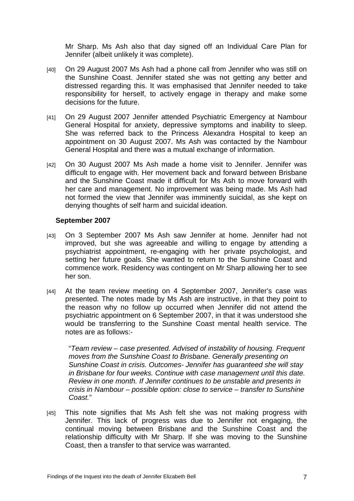Mr Sharp. Ms Ash also that day signed off an Individual Care Plan for Jennifer (albeit unlikely it was complete).

- [40] On 29 August 2007 Ms Ash had a phone call from Jennifer who was still on the Sunshine Coast. Jennifer stated she was not getting any better and distressed regarding this. It was emphasised that Jennifer needed to take responsibility for herself, to actively engage in therapy and make some decisions for the future.
- [41] On 29 August 2007 Jennifer attended Psychiatric Emergency at Nambour General Hospital for anxiety, depressive symptoms and inability to sleep. She was referred back to the Princess Alexandra Hospital to keep an appointment on 30 August 2007. Ms Ash was contacted by the Nambour General Hospital and there was a mutual exchange of information.
- [42] On 30 August 2007 Ms Ash made a home visit to Jennifer. Jennifer was difficult to engage with. Her movement back and forward between Brisbane and the Sunshine Coast made it difficult for Ms Ash to move forward with her care and management. No improvement was being made. Ms Ash had not formed the view that Jennifer was imminently suicidal, as she kept on denying thoughts of self harm and suicidal ideation.

#### **September 2007**

- [43] On 3 September 2007 Ms Ash saw Jennifer at home. Jennifer had not improved, but she was agreeable and willing to engage by attending a psychiatrist appointment, re-engaging with her private psychologist, and setting her future goals. She wanted to return to the Sunshine Coast and commence work. Residency was contingent on Mr Sharp allowing her to see her son.
- [44] At the team review meeting on 4 September 2007, Jennifer's case was presented. The notes made by Ms Ash are instructive, in that they point to the reason why no follow up occurred when Jennifer did not attend the psychiatric appointment on 6 September 2007, in that it was understood she would be transferring to the Sunshine Coast mental health service. The notes are as follows:-

"*Team review – case presented. Advised of instability of housing. Frequent moves from the Sunshine Coast to Brisbane. Generally presenting on Sunshine Coast in crisis. Outcomes- Jennifer has guaranteed she will stay in Brisbane for four weeks. Continue with case management until this date. Review in one month. If Jennifer continues to be unstable and presents in crisis in Nambour – possible option: close to service – transfer to Sunshine Coast.*"

[45] This note signifies that Ms Ash felt she was not making progress with Jennifer. This lack of progress was due to Jennifer not engaging, the continual moving between Brisbane and the Sunshine Coast and the relationship difficulty with Mr Sharp. If she was moving to the Sunshine Coast, then a transfer to that service was warranted.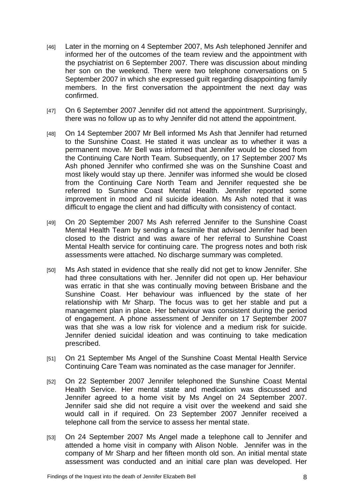- [46] Later in the morning on 4 September 2007, Ms Ash telephoned Jennifer and informed her of the outcomes of the team review and the appointment with the psychiatrist on 6 September 2007. There was discussion about minding her son on the weekend. There were two telephone conversations on 5 September 2007 in which she expressed guilt regarding disappointing family members. In the first conversation the appointment the next day was confirmed.
- [47] On 6 September 2007 Jennifer did not attend the appointment. Surprisingly, there was no follow up as to why Jennifer did not attend the appointment.
- [48] On 14 September 2007 Mr Bell informed Ms Ash that Jennifer had returned to the Sunshine Coast. He stated it was unclear as to whether it was a permanent move. Mr Bell was informed that Jennifer would be closed from the Continuing Care North Team. Subsequently, on 17 September 2007 Ms Ash phoned Jennifer who confirmed she was on the Sunshine Coast and most likely would stay up there. Jennifer was informed she would be closed from the Continuing Care North Team and Jennifer requested she be referred to Sunshine Coast Mental Health. Jennifer reported some improvement in mood and nil suicide ideation. Ms Ash noted that it was difficult to engage the client and had difficulty with consistency of contact.
- [49] On 20 September 2007 Ms Ash referred Jennifer to the Sunshine Coast Mental Health Team by sending a facsimile that advised Jennifer had been closed to the district and was aware of her referral to Sunshine Coast Mental Health service for continuing care. The progress notes and both risk assessments were attached. No discharge summary was completed.
- [50] Ms Ash stated in evidence that she really did not get to know Jennifer. She had three consultations with her. Jennifer did not open up. Her behaviour was erratic in that she was continually moving between Brisbane and the Sunshine Coast. Her behaviour was influenced by the state of her relationship with Mr Sharp. The focus was to get her stable and put a management plan in place. Her behaviour was consistent during the period of engagement. A phone assessment of Jennifer on 17 September 2007 was that she was a low risk for violence and a medium risk for suicide. Jennifer denied suicidal ideation and was continuing to take medication prescribed.
- [51] On 21 September Ms Angel of the Sunshine Coast Mental Health Service Continuing Care Team was nominated as the case manager for Jennifer.
- [52] On 22 September 2007 Jennifer telephoned the Sunshine Coast Mental Health Service. Her mental state and medication was discussed and Jennifer agreed to a home visit by Ms Angel on 24 September 2007. Jennifer said she did not require a visit over the weekend and said she would call in if required. On 23 September 2007 Jennifer received a telephone call from the service to assess her mental state.
- [53] On 24 September 2007 Ms Angel made a telephone call to Jennifer and attended a home visit in company with Alison Noble. Jennifer was in the company of Mr Sharp and her fifteen month old son. An initial mental state assessment was conducted and an initial care plan was developed. Her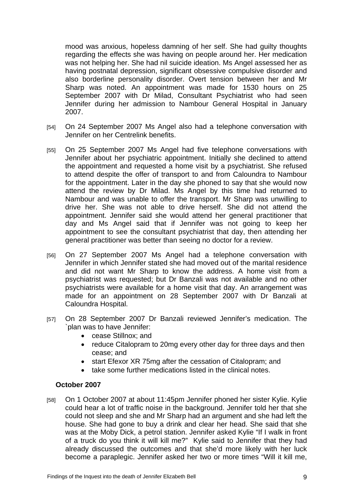mood was anxious, hopeless damning of her self. She had guilty thoughts regarding the effects she was having on people around her. Her medication was not helping her. She had nil suicide ideation. Ms Angel assessed her as having postnatal depression, significant obsessive compulsive disorder and also borderline personality disorder. Overt tension between her and Mr Sharp was noted. An appointment was made for 1530 hours on 25 September 2007 with Dr Milad, Consultant Psychiatrist who had seen Jennifer during her admission to Nambour General Hospital in January 2007.

- [54] On 24 September 2007 Ms Angel also had a telephone conversation with Jennifer on her Centrelink benefits.
- [55] On 25 September 2007 Ms Angel had five telephone conversations with Jennifer about her psychiatric appointment. Initially she declined to attend the appointment and requested a home visit by a psychiatrist. She refused to attend despite the offer of transport to and from Caloundra to Nambour for the appointment. Later in the day she phoned to say that she would now attend the review by Dr Milad. Ms Angel by this time had returned to Nambour and was unable to offer the transport. Mr Sharp was unwilling to drive her. She was not able to drive herself. She did not attend the appointment. Jennifer said she would attend her general practitioner that day and Ms Angel said that if Jennifer was not going to keep her appointment to see the consultant psychiatrist that day, then attending her general practitioner was better than seeing no doctor for a review.
- [56] On 27 September 2007 Ms Angel had a telephone conversation with Jennifer in which Jennifer stated she had moved out of the marital residence and did not want Mr Sharp to know the address. A home visit from a psychiatrist was requested; but Dr Banzali was not available and no other psychiatrists were available for a home visit that day. An arrangement was made for an appointment on 28 September 2007 with Dr Banzali at Caloundra Hospital.
- [57] On 28 September 2007 Dr Banzali reviewed Jennifer's medication. The `plan was to have Jennifer:
	- cease Stillnox; and
	- reduce Citalopram to 20mg every other day for three days and then cease; and
	- start Efexor XR 75mg after the cessation of Citalopram: and
	- take some further medications listed in the clinical notes.

#### **October 2007**

[58] On 1 October 2007 at about 11:45pm Jennifer phoned her sister Kylie. Kylie could hear a lot of traffic noise in the background. Jennifer told her that she could not sleep and she and Mr Sharp had an argument and she had left the house. She had gone to buy a drink and clear her head. She said that she was at the Moby Dick, a petrol station. Jennifer asked Kylie "If I walk in front of a truck do you think it will kill me?" Kylie said to Jennifer that they had already discussed the outcomes and that she'd more likely with her luck become a paraplegic. Jennifer asked her two or more times "Will it kill me,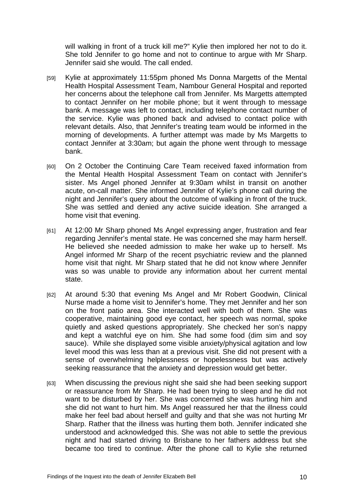will walking in front of a truck kill me?" Kylie then implored her not to do it. She told Jennifer to go home and not to continue to argue with Mr Sharp. Jennifer said she would. The call ended.

- [59] Kylie at approximately 11:55pm phoned Ms Donna Margetts of the Mental Health Hospital Assessment Team, Nambour General Hospital and reported her concerns about the telephone call from Jennifer. Ms Margetts attempted to contact Jennifer on her mobile phone; but it went through to message bank. A message was left to contact, including telephone contact number of the service. Kylie was phoned back and advised to contact police with relevant details. Also, that Jennifer's treating team would be informed in the morning of developments. A further attempt was made by Ms Margetts to contact Jennifer at 3:30am; but again the phone went through to message bank.
- [60] On 2 October the Continuing Care Team received faxed information from the Mental Health Hospital Assessment Team on contact with Jennifer's sister. Ms Angel phoned Jennifer at 9:30am whilst in transit on another acute, on-call matter. She informed Jennifer of Kylie's phone call during the night and Jennifer's query about the outcome of walking in front of the truck. She was settled and denied any active suicide ideation. She arranged a home visit that evening.
- [61] At 12:00 Mr Sharp phoned Ms Angel expressing anger, frustration and fear regarding Jennifer's mental state. He was concerned she may harm herself. He believed she needed admission to make her wake up to herself. Ms Angel informed Mr Sharp of the recent psychiatric review and the planned home visit that night. Mr Sharp stated that he did not know where Jennifer was so was unable to provide any information about her current mental state.
- [62] At around 5:30 that evening Ms Angel and Mr Robert Goodwin, Clinical Nurse made a home visit to Jennifer's home. They met Jennifer and her son on the front patio area. She interacted well with both of them. She was cooperative, maintaining good eye contact, her speech was normal, spoke quietly and asked questions appropriately. She checked her son's nappy and kept a watchful eye on him. She had some food (dim sim and sov sauce). While she displayed some visible anxiety/physical agitation and low level mood this was less than at a previous visit. She did not present with a sense of overwhelming helplessness or hopelessness but was actively seeking reassurance that the anxiety and depression would get better.
- [63] When discussing the previous night she said she had been seeking support or reassurance from Mr Sharp. He had been trying to sleep and he did not want to be disturbed by her. She was concerned she was hurting him and she did not want to hurt him. Ms Angel reassured her that the illness could make her feel bad about herself and guilty and that she was not hurting Mr Sharp. Rather that the illness was hurting them both. Jennifer indicated she understood and acknowledged this. She was not able to settle the previous night and had started driving to Brisbane to her fathers address but she became too tired to continue. After the phone call to Kylie she returned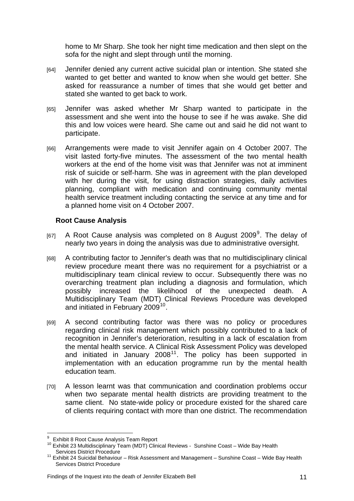home to Mr Sharp. She took her night time medication and then slept on the sofa for the night and slept through until the morning.

- [64] Jennifer denied any current active suicidal plan or intention. She stated she wanted to get better and wanted to know when she would get better. She asked for reassurance a number of times that she would get better and stated she wanted to get back to work.
- [65] Jennifer was asked whether Mr Sharp wanted to participate in the assessment and she went into the house to see if he was awake. She did this and low voices were heard. She came out and said he did not want to participate.
- [66] Arrangements were made to visit Jennifer again on 4 October 2007. The visit lasted forty-five minutes. The assessment of the two mental health workers at the end of the home visit was that Jennifer was not at imminent risk of suicide or self-harm. She was in agreement with the plan developed with her during the visit, for using distraction strategies, daily activities planning, compliant with medication and continuing community mental health service treatment including contacting the service at any time and for a planned home visit on 4 October 2007.

#### **Root Cause Analysis**

- [67] A Root Cause analysis was completed on 8 August 200[9](#page-11-0)<sup>9</sup>. The delay of nearly two years in doing the analysis was due to administrative oversight.
- [68] A contributing factor to Jennifer's death was that no multidisciplinary clinical review procedure meant there was no requirement for a psychiatrist or a multidisciplinary team clinical review to occur. Subsequently there was no overarching treatment plan including a diagnosis and formulation, which possibly increased the likelihood of the unexpected death. A Multidisciplinary Team (MDT) Clinical Reviews Procedure was developed and initiated in February 2009<sup>[10](#page-11-1)</sup>.
- [69] A second contributing factor was there was no policy or procedures regarding clinical risk management which possibly contributed to a lack of recognition in Jennifer's deterioration, resulting in a lack of escalation from the mental health service. A Clinical Risk Assessment Policy was developed and initiated in January 2008<sup>[11](#page-11-2)</sup>. The policy has been supported in implementation with an education programme run by the mental health education team.
- [70] A lesson learnt was that communication and coordination problems occur when two separate mental health districts are providing treatment to the same client. No state-wide policy or procedure existed for the shared care of clients requiring contact with more than one district. The recommendation

<sup>-&</sup>lt;br>9 Exhibit 8 Root Cause Analysis Team Report

<span id="page-11-1"></span><span id="page-11-0"></span><sup>&</sup>lt;sup>10</sup> Exhibit 23 Multidisciplinary Team (MDT) Clinical Reviews - Sunshine Coast – Wide Bay Health<br>Services District Procedure

<span id="page-11-2"></span> $11$  Exhibit 24 Suicidal Behaviour – Risk Assessment and Management – Sunshine Coast – Wide Bay Health Services District Procedure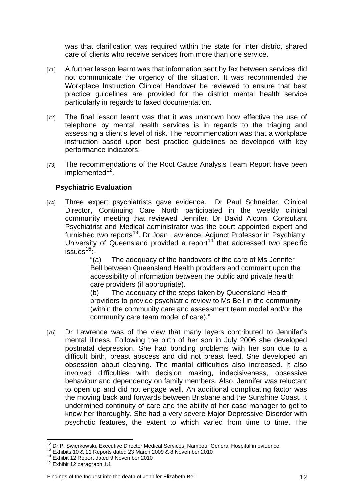was that clarification was required within the state for inter district shared care of clients who receive services from more than one service.

- [71] A further lesson learnt was that information sent by fax between services did not communicate the urgency of the situation. It was recommended the Workplace Instruction Clinical Handover be reviewed to ensure that best practice guidelines are provided for the district mental health service particularly in regards to faxed documentation.
- [72] The final lesson learnt was that it was unknown how effective the use of telephone by mental health services is in regards to the triaging and assessing a client's level of risk. The recommendation was that a workplace instruction based upon best practice guidelines be developed with key performance indicators.
- [73] The recommendations of the Root Cause Analysis Team Report have been implemented $12$ .

### **Psychiatric Evaluation**

[74] Three expert psychiatrists gave evidence. Dr Paul Schneider, Clinical Director, Continuing Care North participated in the weekly clinical community meeting that reviewed Jennifer. Dr David Alcorn, Consultant Psychiatrist and Medical administrator was the court appointed expert and furnished two reports<sup>[13](#page-12-1)</sup>. Dr Joan Lawrence, Adjunct Professor in Psychiatry, University of Queensland provided a report<sup>[14](#page-12-2)</sup> that addressed two specific  $issues<sup>15</sup>$  $issues<sup>15</sup>$  $issues<sup>15</sup>$ :-

"(a) The adequacy of the handovers of the care of Ms Jennifer Bell between Queensland Health providers and comment upon the accessibility of information between the public and private health care providers (if appropriate).

(b) The adequacy of the steps taken by Queensland Health providers to provide psychiatric review to Ms Bell in the community (within the community care and assessment team model and/or the community care team model of care)."

[75] Dr Lawrence was of the view that many layers contributed to Jennifer's mental illness. Following the birth of her son in July 2006 she developed postnatal depression. She had bonding problems with her son due to a difficult birth, breast abscess and did not breast feed. She developed an obsession about cleaning. The marital difficulties also increased. It also involved difficulties with decision making, indecisiveness, obsessive behaviour and dependency on family members. Also, Jennifer was reluctant to open up and did not engage well. An additional complicating factor was the moving back and forwards between Brisbane and the Sunshine Coast. It undermined continuity of care and the ability of her case manager to get to know her thoroughly. She had a very severe Major Depressive Disorder with psychotic features, the extent to which varied from time to time. The

<span id="page-12-0"></span> $\overline{a}$ <sup>12</sup> Dr P. Swierkowski, Executive Director Medical Services, Nambour General Hospital in evidence<br><sup>13</sup> Exhibits 10 & 11 Reports dated 23 March 2009 & 8 November 2010<br><sup>14</sup> Exhibit 12 Report dated 9 November 2010<br><sup>15</sup> Exhib

<span id="page-12-1"></span>

<span id="page-12-2"></span>

<span id="page-12-3"></span>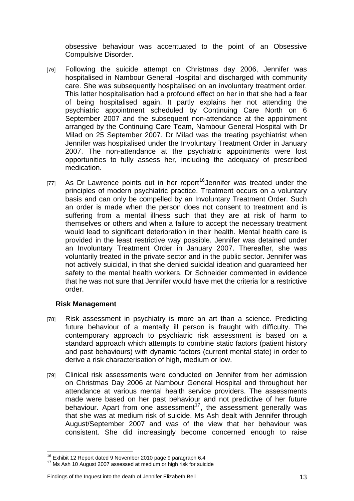obsessive behaviour was accentuated to the point of an Obsessive Compulsive Disorder.

- [76] Following the suicide attempt on Christmas day 2006, Jennifer was hospitalised in Nambour General Hospital and discharged with community care. She was subsequently hospitalised on an involuntary treatment order. This latter hospitalisation had a profound effect on her in that she had a fear of being hospitalised again. It partly explains her not attending the psychiatric appointment scheduled by Continuing Care North on 6 September 2007 and the subsequent non-attendance at the appointment arranged by the Continuing Care Team, Nambour General Hospital with Dr Milad on 25 September 2007. Dr Milad was the treating psychiatrist when Jennifer was hospitalised under the Involuntary Treatment Order in January 2007. The non-attendance at the psychiatric appointments were lost opportunities to fully assess her, including the adequacy of prescribed medication.
- [77] As Dr Lawrence points out in her report<sup>[16](#page-13-0)</sup> Jennifer was treated under the principles of modern psychiatric practice. Treatment occurs on a voluntary basis and can only be compelled by an Involuntary Treatment Order. Such an order is made when the person does not consent to treatment and is suffering from a mental illness such that they are at risk of harm to themselves or others and when a failure to accept the necessary treatment would lead to significant deterioration in their health. Mental health care is provided in the least restrictive way possible. Jennifer was detained under an Involuntary Treatment Order in January 2007. Thereafter, she was voluntarily treated in the private sector and in the public sector. Jennifer was not actively suicidal, in that she denied suicidal ideation and guaranteed her safety to the mental health workers. Dr Schneider commented in evidence that he was not sure that Jennifer would have met the criteria for a restrictive order.

#### **Risk Management**

- [78] Risk assessment in psychiatry is more an art than a science. Predicting future behaviour of a mentally ill person is fraught with difficulty. The contemporary approach to psychiatric risk assessment is based on a standard approach which attempts to combine static factors (patient history and past behaviours) with dynamic factors (current mental state) in order to derive a risk characterisation of high, medium or low.
- [79] Clinical risk assessments were conducted on Jennifer from her admission on Christmas Day 2006 at Nambour General Hospital and throughout her attendance at various mental health service providers. The assessments made were based on her past behaviour and not predictive of her future behaviour. Apart from one assessment<sup>[17](#page-13-1)</sup>, the assessment generally was that she was at medium risk of suicide. Ms Ash dealt with Jennifer through August/September 2007 and was of the view that her behaviour was consistent. She did increasingly become concerned enough to raise

#### Findings of the Inquest into the death of Jennifer Elizabeth Bell 13

<sup>&</sup>lt;sup>16</sup> Exhibit 12 Report dated 9 November 2010 page 9 paragraph 6.4

<span id="page-13-1"></span><span id="page-13-0"></span> $17$  Ms Ash 10 August 2007 assessed at medium or high risk for suicide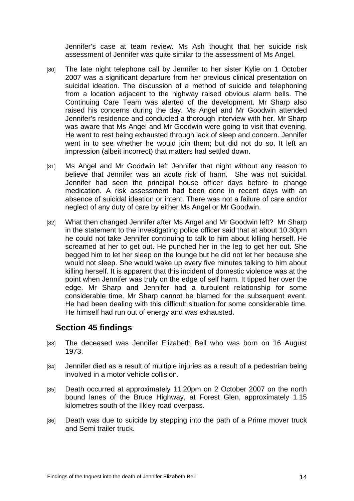Jennifer's case at team review. Ms Ash thought that her suicide risk assessment of Jennifer was quite similar to the assessment of Ms Angel.

- [80] The late night telephone call by Jennifer to her sister Kylie on 1 October 2007 was a significant departure from her previous clinical presentation on suicidal ideation. The discussion of a method of suicide and telephoning from a location adjacent to the highway raised obvious alarm bells. The Continuing Care Team was alerted of the development. Mr Sharp also raised his concerns during the day. Ms Angel and Mr Goodwin attended Jennifer's residence and conducted a thorough interview with her. Mr Sharp was aware that Ms Angel and Mr Goodwin were going to visit that evening. He went to rest being exhausted through lack of sleep and concern. Jennifer went in to see whether he would join them; but did not do so. It left an impression (albeit incorrect) that matters had settled down.
- [81] Ms Angel and Mr Goodwin left Jennifer that night without any reason to believe that Jennifer was an acute risk of harm. She was not suicidal. Jennifer had seen the principal house officer days before to change medication. A risk assessment had been done in recent days with an absence of suicidal ideation or intent. There was not a failure of care and/or neglect of any duty of care by either Ms Angel or Mr Goodwin.
- [82] What then changed Jennifer after Ms Angel and Mr Goodwin left? Mr Sharp in the statement to the investigating police officer said that at about 10.30pm he could not take Jennifer continuing to talk to him about killing herself. He screamed at her to get out. He punched her in the leg to get her out. She begged him to let her sleep on the lounge but he did not let her because she would not sleep. She would wake up every five minutes talking to him about killing herself. It is apparent that this incident of domestic violence was at the point when Jennifer was truly on the edge of self harm. It tipped her over the edge. Mr Sharp and Jennifer had a turbulent relationship for some considerable time. Mr Sharp cannot be blamed for the subsequent event. He had been dealing with this difficult situation for some considerable time. He himself had run out of energy and was exhausted.

## **Section 45 findings**

- [83] The deceased was Jennifer Elizabeth Bell who was born on 16 August 1973.
- [84] Jennifer died as a result of multiple injuries as a result of a pedestrian being involved in a motor vehicle collision.
- [85] Death occurred at approximately 11.20pm on 2 October 2007 on the north bound lanes of the Bruce Highway, at Forest Glen, approximately 1.15 kilometres south of the Ilkley road overpass.
- [86] Death was due to suicide by stepping into the path of a Prime mover truck and Semi trailer truck.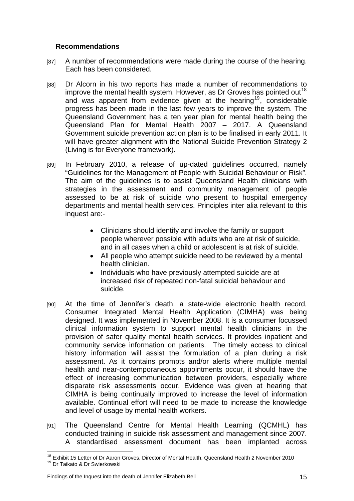#### **Recommendations**

- [87] A number of recommendations were made during the course of the hearing. Each has been considered.
- [88] Dr Alcorn in his two reports has made a number of recommendations to improve the mental health system. However, as Dr Groves has pointed out<sup>[18](#page-15-0)</sup> and was apparent from evidence given at the hearing<sup>[19](#page-15-1)</sup>, considerable progress has been made in the last few years to improve the system. The Queensland Government has a ten year plan for mental health being the Queensland Plan for Mental Health 2007 – 2017. A Queensland Government suicide prevention action plan is to be finalised in early 2011. It will have greater alignment with the National Suicide Prevention Strategy 2 (Living is for Everyone framework).
- [89] In February 2010, a release of up-dated quidelines occurred, namely "Guidelines for the Management of People with Suicidal Behaviour or Risk". The aim of the guidelines is to assist Queensland Health clinicians with strategies in the assessment and community management of people assessed to be at risk of suicide who present to hospital emergency departments and mental health services. Principles inter alia relevant to this inquest are:-
	- Clinicians should identify and involve the family or support people wherever possible with adults who are at risk of suicide, and in all cases when a child or adolescent is at risk of suicide.
	- All people who attempt suicide need to be reviewed by a mental health clinician.
	- Individuals who have previously attempted suicide are at increased risk of repeated non-fatal suicidal behaviour and suicide.
- [90] At the time of Jennifer's death, a state-wide electronic health record, Consumer Integrated Mental Health Application (CIMHA) was being designed. It was implemented in November 2008. It is a consumer focussed clinical information system to support mental health clinicians in the provision of safer quality mental health services. It provides inpatient and community service information on patients. The timely access to clinical history information will assist the formulation of a plan during a risk assessment. As it contains prompts and/or alerts where multiple mental health and near-contemporaneous appointments occur, it should have the effect of increasing communication between providers, especially where disparate risk assessments occur. Evidence was given at hearing that CIMHA is being continually improved to increase the level of information available. Continual effort will need to be made to increase the knowledge and level of usage by mental health workers.
- [91] The Queensland Centre for Mental Health Learning (QCMHL) has conducted training in suicide risk assessment and management since 2007. A standardised assessment document has been implanted across

<span id="page-15-1"></span><span id="page-15-0"></span> $\overline{a}$ <sup>18</sup> Exhibit 15 Letter of Dr Aaron Groves, Director of Mental Health, Queensland Health 2 November 2010<br><sup>19</sup> Dr Taikato & Dr Swierkowski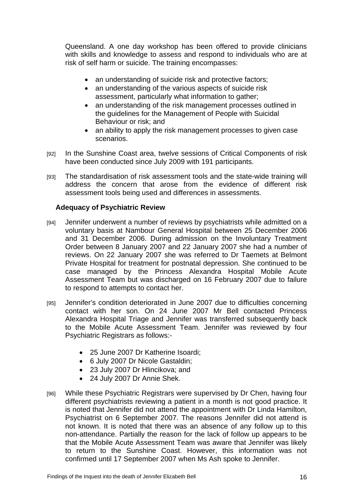Queensland. A one day workshop has been offered to provide clinicians with skills and knowledge to assess and respond to individuals who are at risk of self harm or suicide. The training encompasses:

- an understanding of suicide risk and protective factors;
- an understanding of the various aspects of suicide risk assessment, particularly what information to gather;
- an understanding of the risk management processes outlined in the guidelines for the Management of People with Suicidal Behaviour or risk; and
- an ability to apply the risk management processes to given case scenarios.
- [92] In the Sunshine Coast area, twelve sessions of Critical Components of risk have been conducted since July 2009 with 191 participants.
- [93] The standardisation of risk assessment tools and the state-wide training will address the concern that arose from the evidence of different risk assessment tools being used and differences in assessments.

#### **Adequacy of Psychiatric Review**

- [94] Jennifer underwent a number of reviews by psychiatrists while admitted on a voluntary basis at Nambour General Hospital between 25 December 2006 and 31 December 2006. During admission on the Involuntary Treatment Order between 8 January 2007 and 22 January 2007 she had a number of reviews. On 22 January 2007 she was referred to Dr Taemets at Belmont Private Hospital for treatment for postnatal depression. She continued to be case managed by the Princess Alexandra Hospital Mobile Acute Assessment Team but was discharged on 16 February 2007 due to failure to respond to attempts to contact her.
- [95] Jennifer's condition deteriorated in June 2007 due to difficulties concerning contact with her son. On 24 June 2007 Mr Bell contacted Princess Alexandra Hospital Triage and Jennifer was transferred subsequently back to the Mobile Acute Assessment Team. Jennifer was reviewed by four Psychiatric Registrars as follows:-
	- 25 June 2007 Dr Katherine Isoardi;
	- 6 July 2007 Dr Nicole Gastaldin;
	- 23 July 2007 Dr Hlincikova; and
	- 24 July 2007 Dr Annie Shek.
- [96] While these Psychiatric Registrars were supervised by Dr Chen, having four different psychiatrists reviewing a patient in a month is not good practice. It is noted that Jennifer did not attend the appointment with Dr Linda Hamilton, Psychiatrist on 6 September 2007. The reasons Jennifer did not attend is not known. It is noted that there was an absence of any follow up to this non-attendance. Partially the reason for the lack of follow up appears to be that the Mobile Acute Assessment Team was aware that Jennifer was likely to return to the Sunshine Coast. However, this information was not confirmed until 17 September 2007 when Ms Ash spoke to Jennifer.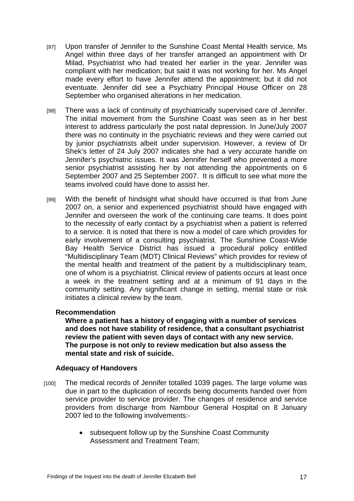- [97] Upon transfer of Jennifer to the Sunshine Coast Mental Health service, Ms Angel within three days of her transfer arranged an appointment with Dr Milad, Psychiatrist who had treated her earlier in the year. Jennifer was compliant with her medication; but said it was not working for her. Ms Angel made every effort to have Jennifer attend the appointment; but it did not eventuate. Jennifer did see a Psychiatry Principal House Officer on 28 September who organised alterations in her medication.
- [98] There was a lack of continuity of psychiatrically supervised care of Jennifer. The initial movement from the Sunshine Coast was seen as in her best interest to address particularly the post natal depression. In June/July 2007 there was no continuity in the psychiatric reviews and they were carried out by junior psychiatrists albeit under supervision. However, a review of Dr Shek's letter of 24 July 2007 indicates she had a very accurate handle on Jennifer's psychiatric issues. It was Jennifer herself who prevented a more senior psychiatrist assisting her by not attending the appointments on 6 September 2007 and 25 September 2007. It is difficult to see what more the teams involved could have done to assist her.
- [99] With the benefit of hindsight what should have occurred is that from June 2007 on, a senior and experienced psychiatrist should have engaged with Jennifer and overseen the work of the continuing care teams. It does point to the necessity of early contact by a psychiatrist when a patient is referred to a service. It is noted that there is now a model of care which provides for early involvement of a consulting psychiatrist. The Sunshine Coast-Wide Bay Health Service District has issued a procedural policy entitled "Multidisciplinary Team (MDT) Clinical Reviews" which provides for review of the mental health and treatment of the patient by a multidisciplinary team, one of whom is a psychiatrist. Clinical review of patients occurs at least once a week in the treatment setting and at a minimum of 91 days in the community setting. Any significant change in setting, mental state or risk initiates a clinical review by the team.

#### **Recommendation**

**Where a patient has a history of engaging with a number of services and does not have stability of residence, that a consultant psychiatrist review the patient with seven days of contact with any new service. The purpose is not only to review medication but also assess the mental state and risk of suicide.** 

#### **Adequacy of Handovers**

- [100] The medical records of Jennifer totalled 1039 pages. The large volume was due in part to the duplication of records being documents handed over from service provider to service provider. The changes of residence and service providers from discharge from Nambour General Hospital on 8 January 2007 led to the following involvements:-
	- subsequent follow up by the Sunshine Coast Community Assessment and Treatment Team;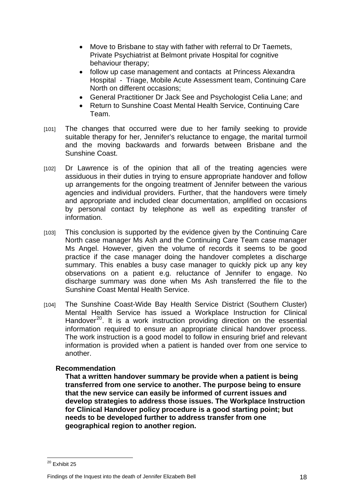- Move to Brisbane to stay with father with referral to Dr Taemets, Private Psychiatrist at Belmont private Hospital for cognitive behaviour therapy;
- follow up case management and contacts at Princess Alexandra Hospital - Triage, Mobile Acute Assessment team, Continuing Care North on different occasions;
- General Practitioner Dr Jack See and Psychologist Celia Lane; and
- Return to Sunshine Coast Mental Health Service, Continuing Care Team.
- [101] The changes that occurred were due to her family seeking to provide suitable therapy for her, Jennifer's reluctance to engage, the marital turmoil and the moving backwards and forwards between Brisbane and the Sunshine Coast.
- [102] Dr Lawrence is of the opinion that all of the treating agencies were assiduous in their duties in trying to ensure appropriate handover and follow up arrangements for the ongoing treatment of Jennifer between the various agencies and individual providers. Further, that the handovers were timely and appropriate and included clear documentation, amplified on occasions by personal contact by telephone as well as expediting transfer of information.
- [103] This conclusion is supported by the evidence given by the Continuing Care North case manager Ms Ash and the Continuing Care Team case manager Ms Angel. However, given the volume of records it seems to be good practice if the case manager doing the handover completes a discharge summary. This enables a busy case manager to quickly pick up any key observations on a patient e.g. reluctance of Jennifer to engage. No discharge summary was done when Ms Ash transferred the file to the Sunshine Coast Mental Health Service.
- [104] The Sunshine Coast-Wide Bay Health Service District (Southern Cluster) Mental Health Service has issued a Workplace Instruction for Clinical Handover<sup>[20](#page-18-0)</sup>. It is a work instruction providing direction on the essential information required to ensure an appropriate clinical handover process. The work instruction is a good model to follow in ensuring brief and relevant information is provided when a patient is handed over from one service to another.

#### **Recommendation**

**That a written handover summary be provide when a patient is being transferred from one service to another. The purpose being to ensure that the new service can easily be informed of current issues and develop strategies to address those issues. The Workplace Instruction for Clinical Handover policy procedure is a good starting point; but needs to be developed further to address transfer from one geographical region to another region.** 

 $\overline{\phantom{a}}$ 

Findings of the Inquest into the death of Jennifer Elizabeth Bell 18

<span id="page-18-0"></span><sup>&</sup>lt;sup>20</sup> Exhibit 25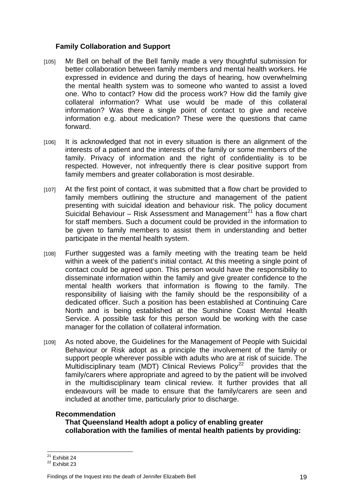### **Family Collaboration and Support**

- [105] Mr Bell on behalf of the Bell family made a very thoughtful submission for better collaboration between family members and mental health workers. He expressed in evidence and during the days of hearing, how overwhelming the mental health system was to someone who wanted to assist a loved one. Who to contact? How did the process work? How did the family give collateral information? What use would be made of this collateral information? Was there a single point of contact to give and receive information e.g. about medication? These were the questions that came forward.
- [106] It is acknowledged that not in every situation is there an alignment of the interests of a patient and the interests of the family or some members of the family. Privacy of information and the right of confidentiality is to be respected. However, not infrequently there is clear positive support from family members and greater collaboration is most desirable.
- [107] At the first point of contact, it was submitted that a flow chart be provided to family members outlining the structure and management of the patient presenting with suicidal ideation and behaviour risk. The policy document Suicidal Behaviour – Risk Assessment and Management<sup>[21](#page-19-0)</sup> has a flow chart for staff members. Such a document could be provided in the information to be given to family members to assist them in understanding and better participate in the mental health system.
- [108] Further suggested was a family meeting with the treating team be held within a week of the patient's initial contact. At this meeting a single point of contact could be agreed upon. This person would have the responsibility to disseminate information within the family and give greater confidence to the mental health workers that information is flowing to the family. The responsibility of liaising with the family should be the responsibility of a dedicated officer. Such a position has been established at Continuing Care North and is being established at the Sunshine Coast Mental Health Service. A possible task for this person would be working with the case manager for the collation of collateral information.
- [109] As noted above, the Guidelines for the Management of People with Suicidal Behaviour or Risk adopt as a principle the involvement of the family or support people wherever possible with adults who are at risk of suicide. The Multidisciplinary team (MDT) Clinical Reviews Policy<sup>[22](#page-19-1)</sup> provides that the family/carers where appropriate and agreed to by the patient will be involved in the multidisciplinary team clinical review. It further provides that all endeavours will be made to ensure that the family/carers are seen and included at another time, particularly prior to discharge.

#### **Recommendation**

**That Queensland Health adopt a policy of enabling greater collaboration with the families of mental health patients by providing:** 

 $21$  Exhibit 24

<span id="page-19-1"></span><span id="page-19-0"></span> $22$  Exhibit 23